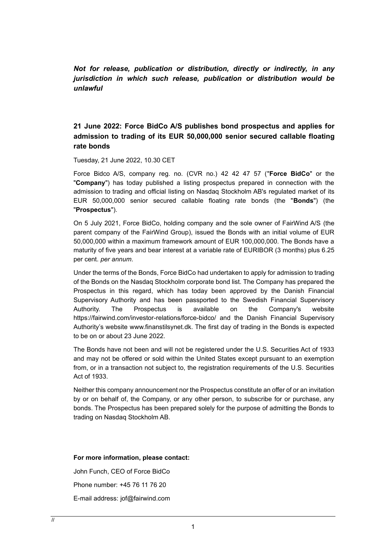*Not for release, publication or distribution, directly or indirectly, in any jurisdiction in which such release, publication or distribution would be unlawful*

**21 June 2022: Force BidCo A/S publishes bond prospectus and applies for admission to trading of its EUR 50,000,000 senior secured callable floating rate bonds**

Tuesday, 21 June 2022, 10.30 CET

Force Bidco A/S, company reg. no. (CVR no.) 42 42 47 57 ("**Force BidCo**" or the "**Company**") has today published a listing prospectus prepared in connection with the admission to trading and official listing on Nasdaq Stockholm AB's regulated market of its EUR 50,000,000 senior secured callable floating rate bonds (the "**Bonds**") (the "**Prospectus**").

On 5 July 2021, Force BidCo, holding company and the sole owner of FairWind A/S (the parent company of the FairWind Group), issued the Bonds with an initial volume of EUR 50,000,000 within a maximum framework amount of EUR 100,000,000. The Bonds have a maturity of five years and bear interest at a variable rate of EURIBOR (3 months) plus 6.25 per cent. *per annum*.

Under the terms of the Bonds, Force BidCo had undertaken to apply for admission to trading of the Bonds on the Nasdaq Stockholm corporate bond list. The Company has prepared the Prospectus in this regard, which has today been approved by the Danish Financial Supervisory Authority and has been passported to the Swedish Financial Supervisory Authority. The Prospectus is available on the Company's website https://fairwind.com/investor-relations/force-bidco/ and the Danish Financial Supervisory Authority's website www.finanstilsynet.dk. The first day of trading in the Bonds is expected to be on or about 23 June 2022.

The Bonds have not been and will not be registered under the U.S. Securities Act of 1933 and may not be offered or sold within the United States except pursuant to an exemption from, or in a transaction not subject to, the registration requirements of the U.S. Securities Act of 1933.

Neither this company announcement nor the Prospectus constitute an offer of or an invitation by or on behalf of, the Company, or any other person, to subscribe for or purchase, any bonds. The Prospectus has been prepared solely for the purpose of admitting the Bonds to trading on Nasdaq Stockholm AB.

## **For more information, please contact:**

John Funch, CEO of Force BidCo Phone number: +45 76 11 76 20 E-mail address: jof@fairwind.com